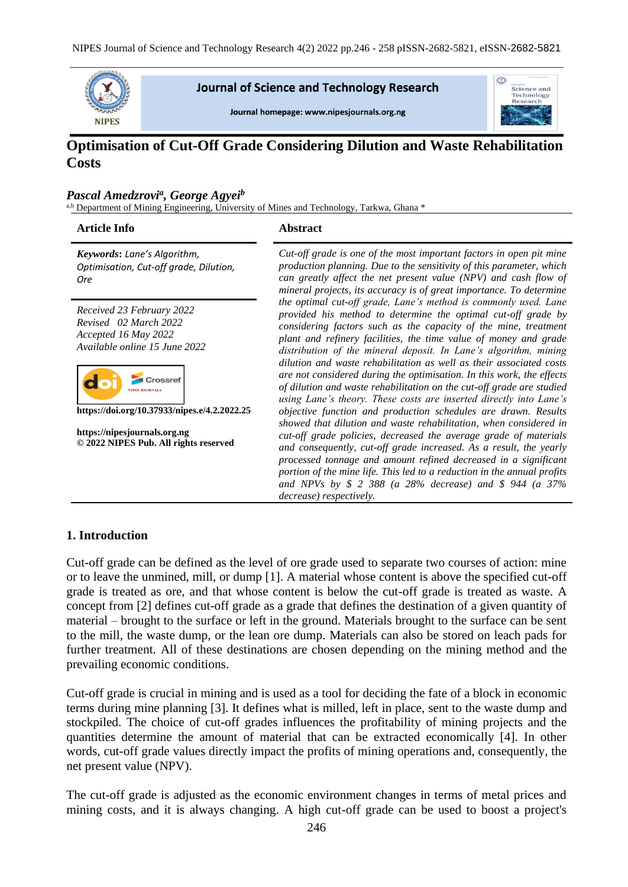

## **Journal of Science and Technology Research**

Journal homepage: www.nipesjournals.org.ng



# **Optimisation of Cut-Off Grade Considering Dilution and Waste Rehabilitation Costs**

### *Pascal Amedzrovi<sup>a</sup> , George Agyei<sup>b</sup>*

a,b Department of Mining Engineering, University of Mines and Technology, Tarkwa, Ghana \*

#### **Article Info Abstract**

*Keywords***:** *Lane's Algorithm, Optimisation, Cut-off grade, Dilution, Ore*

*Received 23 February 2022 Revised 02 March 2022 Accepted 16 May 2022 Available online 15 June 2022*



**https://doi.org/10.37933/nipes.e/4.2.2022.25**

**https://nipesjournals.org.ng © 2022 NIPES Pub. All rights reserved**

*Cut-off grade is one of the most important factors in open pit mine production planning. Due to the sensitivity of this parameter, which can greatly affect the net present value (NPV) and cash flow of mineral projects, its accuracy is of great importance. To determine the optimal cut-off grade, Lane's method is commonly used. Lane provided his method to determine the optimal cut-off grade by considering factors such as the capacity of the mine, treatment plant and refinery facilities, the time value of money and grade distribution of the mineral deposit. In Lane's algorithm, mining dilution and waste rehabilitation as well as their associated costs are not considered during the optimisation. In this work, the effects of dilution and waste rehabilitation on the cut-off grade are studied using Lane's theory. These costs are inserted directly into Lane's objective function and production schedules are drawn. Results showed that dilution and waste rehabilitation, when considered in cut-off grade policies, decreased the average grade of materials and consequently, cut-off grade increased. As a result, the yearly processed tonnage and amount refined decreased in a significant portion of the mine life. This led to a reduction in the annual profits and NPVs by \$ 2 388 (a 28% decrease) and \$ 944 (a 37% decrease) respectively.*

### **1. Introduction**

Cut-off grade can be defined as the level of ore grade used to separate two courses of action: mine or to leave the unmined, mill, or dump [1]. A material whose content is above the specified cut-off grade is treated as ore, and that whose content is below the cut-off grade is treated as waste. A concept from [2] defines cut-off grade as a grade that defines the destination of a given quantity of material – brought to the surface or left in the ground. Materials brought to the surface can be sent to the mill, the waste dump, or the lean ore dump. Materials can also be stored on leach pads for further treatment. All of these destinations are chosen depending on the mining method and the prevailing economic conditions.

Cut-off grade is crucial in mining and is used as a tool for deciding the fate of a block in economic terms during mine planning [3]. It defines what is milled, left in place, sent to the waste dump and stockpiled. The choice of cut-off grades influences the profitability of mining projects and the quantities determine the amount of material that can be extracted economically [4]. In other words, cut-off grade values directly impact the profits of mining operations and, consequently, the net present value (NPV).

The cut-off grade is adjusted as the economic environment changes in terms of metal prices and mining costs, and it is always changing. A high cut-off grade can be used to boost a project's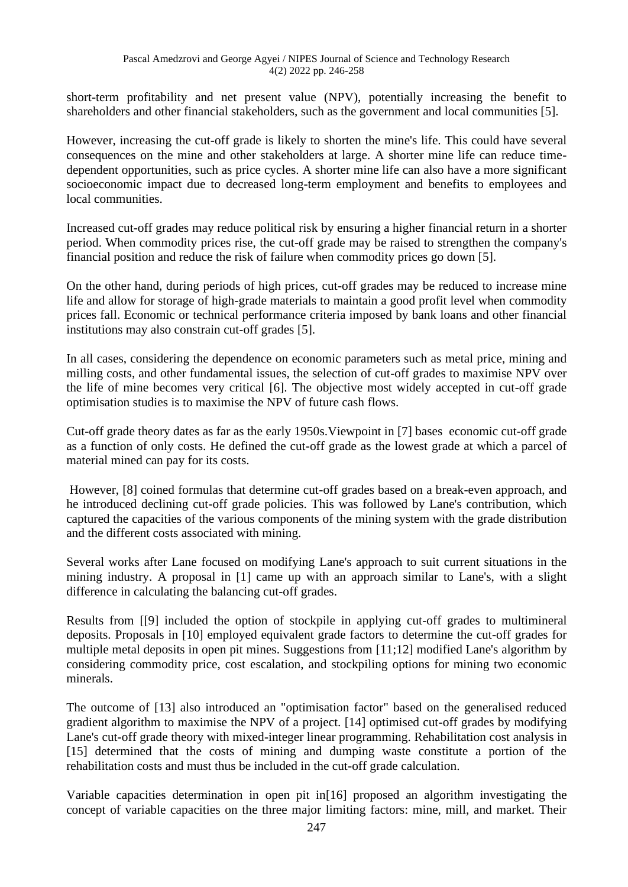short-term profitability and net present value (NPV), potentially increasing the benefit to shareholders and other financial stakeholders, such as the government and local communities [5].

However, increasing the cut-off grade is likely to shorten the mine's life. This could have several consequences on the mine and other stakeholders at large. A shorter mine life can reduce timedependent opportunities, such as price cycles. A shorter mine life can also have a more significant socioeconomic impact due to decreased long-term employment and benefits to employees and local communities.

Increased cut-off grades may reduce political risk by ensuring a higher financial return in a shorter period. When commodity prices rise, the cut-off grade may be raised to strengthen the company's financial position and reduce the risk of failure when commodity prices go down [5].

On the other hand, during periods of high prices, cut-off grades may be reduced to increase mine life and allow for storage of high-grade materials to maintain a good profit level when commodity prices fall. Economic or technical performance criteria imposed by bank loans and other financial institutions may also constrain cut-off grades [5].

In all cases, considering the dependence on economic parameters such as metal price, mining and milling costs, and other fundamental issues, the selection of cut-off grades to maximise NPV over the life of mine becomes very critical [6]. The objective most widely accepted in cut-off grade optimisation studies is to maximise the NPV of future cash flows.

Cut-off grade theory dates as far as the early 1950s.Viewpoint in [7] bases economic cut-off grade as a function of only costs. He defined the cut-off grade as the lowest grade at which a parcel of material mined can pay for its costs.

However, [8] coined formulas that determine cut-off grades based on a break-even approach, and he introduced declining cut-off grade policies. This was followed by Lane's contribution, which captured the capacities of the various components of the mining system with the grade distribution and the different costs associated with mining.

Several works after Lane focused on modifying Lane's approach to suit current situations in the mining industry. A proposal in [1] came up with an approach similar to Lane's, with a slight difference in calculating the balancing cut-off grades.

Results from [[9] included the option of stockpile in applying cut-off grades to multimineral deposits. Proposals in [10] employed equivalent grade factors to determine the cut-off grades for multiple metal deposits in open pit mines. Suggestions from [11;12] modified Lane's algorithm by considering commodity price, cost escalation, and stockpiling options for mining two economic minerals.

The outcome of [13] also introduced an "optimisation factor" based on the generalised reduced gradient algorithm to maximise the NPV of a project. [14] optimised cut-off grades by modifying Lane's cut-off grade theory with mixed-integer linear programming. Rehabilitation cost analysis in [15] determined that the costs of mining and dumping waste constitute a portion of the rehabilitation costs and must thus be included in the cut-off grade calculation.

Variable capacities determination in open pit in[16] proposed an algorithm investigating the concept of variable capacities on the three major limiting factors: mine, mill, and market. Their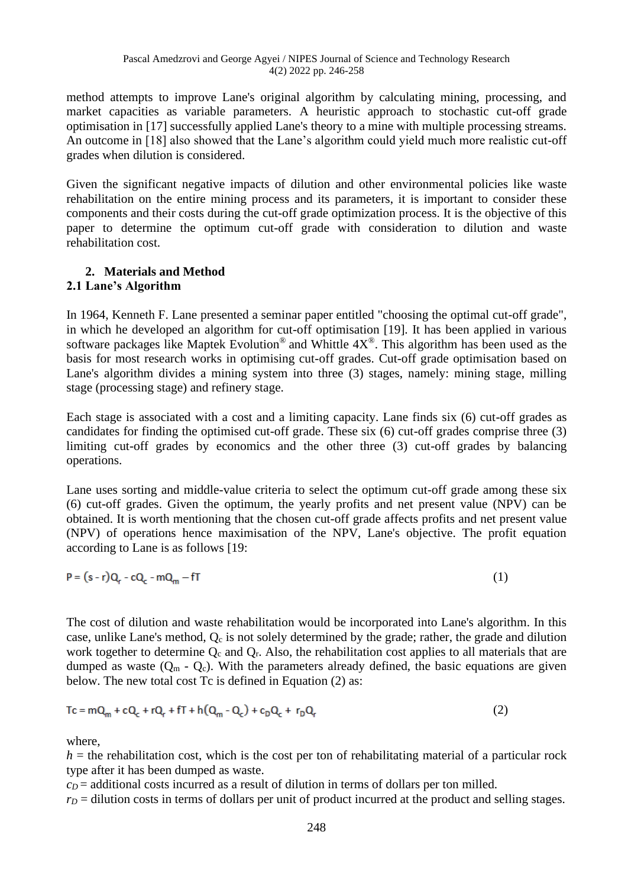method attempts to improve Lane's original algorithm by calculating mining, processing, and market capacities as variable parameters. A heuristic approach to stochastic cut-off grade optimisation in [17] successfully applied Lane's theory to a mine with multiple processing streams. An outcome in [18] also showed that the Lane's algorithm could yield much more realistic cut-off grades when dilution is considered.

Given the significant negative impacts of dilution and other environmental policies like waste rehabilitation on the entire mining process and its parameters, it is important to consider these components and their costs during the cut-off grade optimization process. It is the objective of this paper to determine the optimum cut-off grade with consideration to dilution and waste rehabilitation cost.

# **2. Materials and Method**

## **2.1 Lane's Algorithm**

In 1964, Kenneth F. Lane presented a seminar paper entitled "choosing the optimal cut-off grade", in which he developed an algorithm for cut-off optimisation [19]. It has been applied in various software packages like Maptek Evolution<sup>®</sup> and Whittle  $4X^{\circledast}$ . This algorithm has been used as the basis for most research works in optimising cut-off grades. Cut-off grade optimisation based on Lane's algorithm divides a mining system into three (3) stages, namely: mining stage, milling stage (processing stage) and refinery stage.

Each stage is associated with a cost and a limiting capacity. Lane finds six (6) cut-off grades as candidates for finding the optimised cut-off grade. These six (6) cut-off grades comprise three (3) limiting cut-off grades by economics and the other three (3) cut-off grades by balancing operations.

Lane uses sorting and middle-value criteria to select the optimum cut-off grade among these six (6) cut-off grades. Given the optimum, the yearly profits and net present value (NPV) can be obtained. It is worth mentioning that the chosen cut-off grade affects profits and net present value (NPV) of operations hence maximisation of the NPV, Lane's objective. The profit equation according to Lane is as follows [19:

$$
P = (s - r)Q_r - cQ_c - mQ_m - fT
$$
 (1)

The cost of dilution and waste rehabilitation would be incorporated into Lane's algorithm. In this case, unlike Lane's method,  $Q_c$  is not solely determined by the grade; rather, the grade and dilution work together to determine  $Q_c$  and  $Q_r$ . Also, the rehabilitation cost applies to all materials that are dumped as waste  $(Q_m - Q_c)$ . With the parameters already defined, the basic equations are given below. The new total cost Tc is defined in Equation (2) as:

$$
Tc = mQ_m + cQ_c + rQ_r + fT + h(Q_m - Q_c) + c_DQ_c + r_DQ_r
$$
 (2)

where,

 $h =$  the rehabilitation cost, which is the cost per ton of rehabilitating material of a particular rock type after it has been dumped as waste.

 $c<sub>D</sub>$  = additional costs incurred as a result of dilution in terms of dollars per ton milled.

 $r_D$  = dilution costs in terms of dollars per unit of product incurred at the product and selling stages.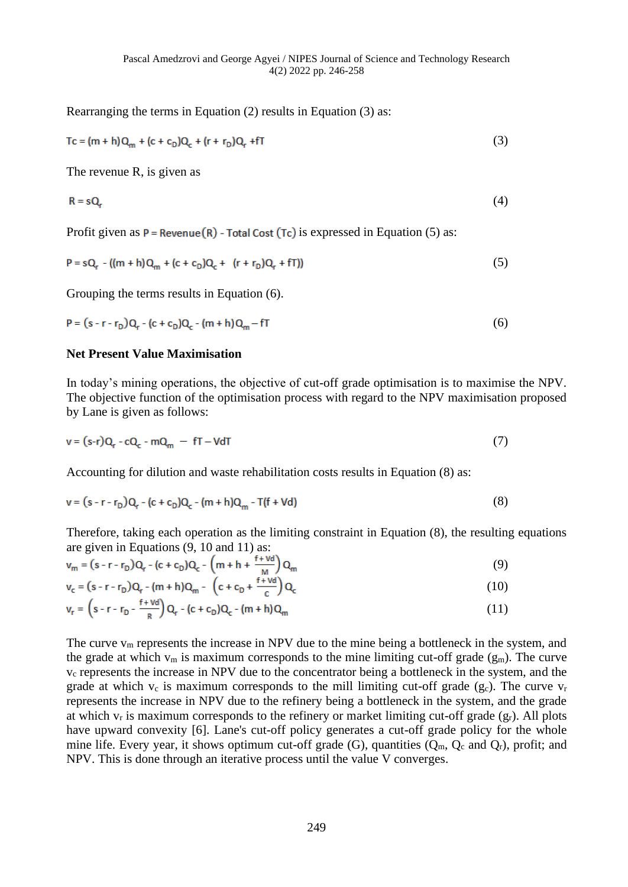Rearranging the terms in Equation (2) results in Equation (3) as:

$$
Tc = (m + h)Q_m + (c + c_D)Q_c + (r + r_D)Q_r + fT
$$
\n(3)

The revenue R, is given as

$$
R = sQ_r \tag{4}
$$

Profit given as  $P =$  Revenue(R) - Total Cost (Tc) is expressed in Equation (5) as:

$$
P = sQ_r - ((m + h)Q_m + (c + c_p)Q_c + (r + r_p)Q_r + fT))
$$
\n(5)

Grouping the terms results in Equation (6).

$$
P = (s - r - r_D)Q_r - (c + c_D)Q_c - (m + h)Q_m - fT
$$
\n(6)

#### **Net Present Value Maximisation**

In today's mining operations, the objective of cut-off grade optimisation is to maximise the NPV. The objective function of the optimisation process with regard to the NPV maximisation proposed by Lane is given as follows:

$$
v = (s-r)Q_r - cQ_c - mQ_m - fT - VdT
$$
 (7)

Accounting for dilution and waste rehabilitation costs results in Equation (8) as:

$$
v = (s - r - r_D)Q_r - (c + c_D)Q_c - (m + h)Q_m - T(f + Vd)
$$
\n(8)

Therefore, taking each operation as the limiting constraint in Equation (8), the resulting equations are given in Equations (9, 10 and 11) as:

$$
v_m = (s - r - r_D)Q_r - (c + c_D)Q_c - (m + h + \frac{r + \nu d}{M})Q_m
$$
\n(9)

$$
v_c = (s - r - r_D)Q_r - (m + h)Q_m - (c + c_D + \frac{r + v_0}{c})Q_c
$$
\n(10)

$$
v_r = (s - r - r_D - \frac{r + v_0}{R}) Q_r - (c + c_D) Q_c - (m + h) Q_m
$$
\n(11)

The curve  $v_m$  represents the increase in NPV due to the mine being a bottleneck in the system, and the grade at which  $v_m$  is maximum corresponds to the mine limiting cut-off grade  $(g_m)$ . The curve v<sup>c</sup> represents the increase in NPV due to the concentrator being a bottleneck in the system, and the grade at which  $v_c$  is maximum corresponds to the mill limiting cut-off grade (gc). The curve  $v_r$ represents the increase in NPV due to the refinery being a bottleneck in the system, and the grade at which  $v_r$  is maximum corresponds to the refinery or market limiting cut-off grade  $(g_r)$ . All plots have upward convexity [6]. Lane's cut-off policy generates a cut-off grade policy for the whole mine life. Every year, it shows optimum cut-off grade  $(G)$ , quantities  $(Q_m, Q_c \text{ and } Q_r)$ , profit; and NPV. This is done through an iterative process until the value V converges.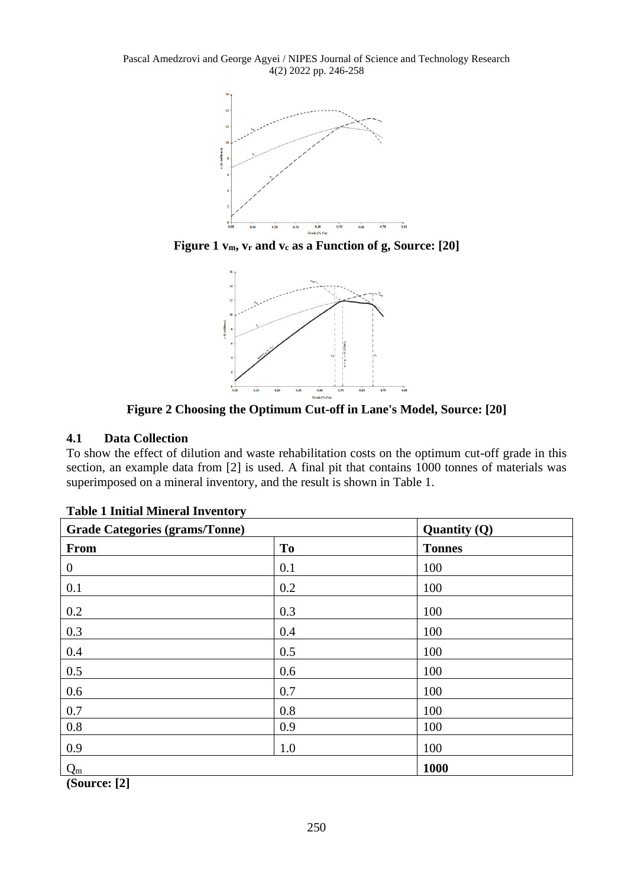Pascal Amedzrovi and George Agyei / NIPES Journal of Science and Technology Research 4(2) 2022 pp. 246-258



**Figure 1 vm, v<sup>r</sup> and v<sup>c</sup> as a Function of g, Source: [20]**



**Figure 2 Choosing the Optimum Cut-off in Lane's Model, Source: [20]**

## **4.1 Data Collection**

To show the effect of dilution and waste rehabilitation costs on the optimum cut-off grade in this section, an example data from [2] is used. A final pit that contains 1000 tonnes of materials was superimposed on a mineral inventory, and the result is shown in Table 1.

| <b>Grade Categories (grams/Tonne)</b> | Quantity $(Q)$ |               |
|---------------------------------------|----------------|---------------|
| <b>From</b>                           | T <sub>o</sub> | <b>Tonnes</b> |
| $\boldsymbol{0}$                      | 0.1            | 100           |
| 0.1                                   | 0.2            | 100           |
| 0.2                                   | 0.3            | 100           |
| 0.3                                   | 0.4            | 100           |
| 0.4                                   | 0.5            | 100           |
| 0.5                                   | 0.6            | 100           |
| 0.6                                   | 0.7            | 100           |
| 0.7                                   | 0.8            | 100           |
| 0.8                                   | 0.9            | 100           |
| 0.9                                   | 1.0            | 100           |
| $Q_m$                                 |                | 1000          |

|  |  |  | <b>Table 1 Initial Mineral Inventory</b> |
|--|--|--|------------------------------------------|
|--|--|--|------------------------------------------|

**(Source: [2]**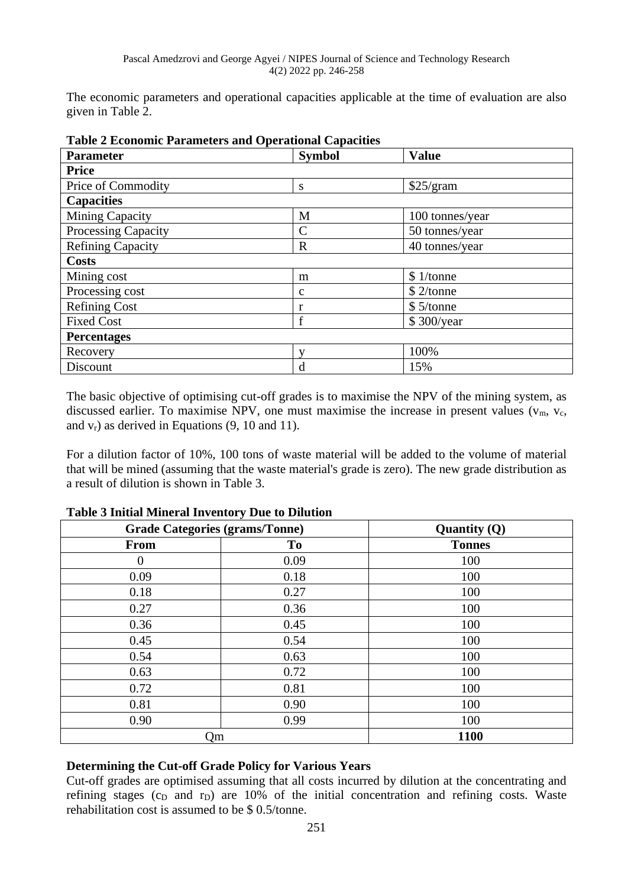The economic parameters and operational capacities applicable at the time of evaluation are also given in Table 2.

| таріс 2 перионне і атаність ана Ореганонаг Сарасніев |               |                 |  |  |  |  |
|------------------------------------------------------|---------------|-----------------|--|--|--|--|
| <b>Parameter</b>                                     | <b>Symbol</b> | <b>Value</b>    |  |  |  |  |
| <b>Price</b>                                         |               |                 |  |  |  |  |
| Price of Commodity                                   | S             | \$25/gram       |  |  |  |  |
| <b>Capacities</b>                                    |               |                 |  |  |  |  |
| Mining Capacity                                      | M             | 100 tonnes/year |  |  |  |  |
| Processing Capacity                                  | $\mathcal{C}$ | 50 tonnes/year  |  |  |  |  |
| <b>Refining Capacity</b>                             | $\mathbf R$   | 40 tonnes/year  |  |  |  |  |
| <b>Costs</b>                                         |               |                 |  |  |  |  |
| Mining cost                                          | m             | \$1/tonne       |  |  |  |  |
| Processing cost                                      | $\mathbf c$   | \$2/tonne       |  |  |  |  |
| <b>Refining Cost</b>                                 | r             | \$5/tonne       |  |  |  |  |
| <b>Fixed Cost</b>                                    | f             | \$300/year      |  |  |  |  |
| <b>Percentages</b>                                   |               |                 |  |  |  |  |
| Recovery                                             | $\mathbf{V}$  | 100%            |  |  |  |  |
| Discount                                             | d             | 15%             |  |  |  |  |

**Table 2 Economic Parameters and Operational Capacities**

The basic objective of optimising cut-off grades is to maximise the NPV of the mining system, as discussed earlier. To maximise NPV, one must maximise the increase in present values  $(v_m, v_c)$ and  $v_r$ ) as derived in Equations (9, 10 and 11).

For a dilution factor of 10%, 100 tons of waste material will be added to the volume of material that will be mined (assuming that the waste material's grade is zero). The new grade distribution as a result of dilution is shown in Table 3.

| <b>Grade Categories (grams/Tonne)</b> | Quantity $(Q)$ |               |
|---------------------------------------|----------------|---------------|
| <b>From</b>                           | T <sub>0</sub> | <b>Tonnes</b> |
| $\theta$                              | 0.09           | 100           |
| 0.09                                  | 0.18           | 100           |
| 0.18                                  | 0.27           | 100           |
| 0.27                                  | 0.36           | 100           |
| 0.36                                  | 0.45           | 100           |
| 0.45                                  | 0.54           | 100           |
| 0.54                                  | 0.63           | 100           |
| 0.63                                  | 0.72           | 100           |
| 0.72                                  | 0.81           | 100           |
| 0.81                                  | 0.90           | 100           |
| 0.90                                  | 0.99           | 100           |
| Qm                                    | 1100           |               |

**Table 3 Initial Mineral Inventory Due to Dilution**

### **Determining the Cut-off Grade Policy for Various Years**

Cut-off grades are optimised assuming that all costs incurred by dilution at the concentrating and refining stages ( $c<sub>D</sub>$  and  $r<sub>D</sub>$ ) are 10% of the initial concentration and refining costs. Waste rehabilitation cost is assumed to be \$ 0.5/tonne.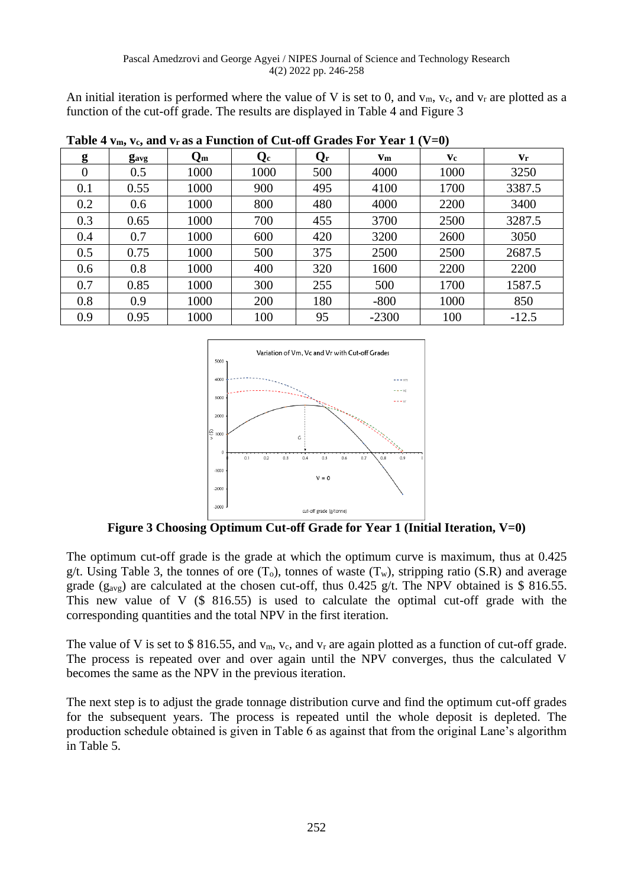An initial iteration is performed where the value of V is set to 0, and  $v_m$ ,  $v_c$ , and  $v_r$  are plotted as a function of the cut-off grade. The results are displayed in Table 4 and Figure 3

| THE THIS IS THE THE TERM OF THE CHANGE OF STRUCK THE TERM IS THE TERM OF THE TERM OF THE TERM IS THE TERM OF THE TERM OF THE TERM OF THE TERM OF THE TERM OF THE TERM OF THE TERM OF THE TERM OF THE TERM OF THE TERM OF THE |                         |         |         |                         |         |      |                         |
|------------------------------------------------------------------------------------------------------------------------------------------------------------------------------------------------------------------------------|-------------------------|---------|---------|-------------------------|---------|------|-------------------------|
| g                                                                                                                                                                                                                            | <b>g</b> <sub>avg</sub> | $Q_{m}$ | $Q_{c}$ | $\mathbf{Q}_\mathbf{r}$ | $Vm$    | Vc   | $\mathbf{v}_\mathbf{r}$ |
| $\overline{0}$                                                                                                                                                                                                               | 0.5                     | 1000    | 1000    | 500                     | 4000    | 1000 | 3250                    |
| 0.1                                                                                                                                                                                                                          | 0.55                    | 1000    | 900     | 495                     | 4100    | 1700 | 3387.5                  |
| 0.2                                                                                                                                                                                                                          | 0.6                     | 1000    | 800     | 480                     | 4000    | 2200 | 3400                    |
| 0.3                                                                                                                                                                                                                          | 0.65                    | 1000    | 700     | 455                     | 3700    | 2500 | 3287.5                  |
| 0.4                                                                                                                                                                                                                          | 0.7                     | 1000    | 600     | 420                     | 3200    | 2600 | 3050                    |
| 0.5                                                                                                                                                                                                                          | 0.75                    | 1000    | 500     | 375                     | 2500    | 2500 | 2687.5                  |
| 0.6                                                                                                                                                                                                                          | 0.8                     | 1000    | 400     | 320                     | 1600    | 2200 | 2200                    |
| 0.7                                                                                                                                                                                                                          | 0.85                    | 1000    | 300     | 255                     | 500     | 1700 | 1587.5                  |
| 0.8                                                                                                                                                                                                                          | 0.9                     | 1000    | 200     | 180                     | $-800$  | 1000 | 850                     |
| 0.9                                                                                                                                                                                                                          | 0.95                    | 1000    | 100     | 95                      | $-2300$ | 100  | $-12.5$                 |

**Table 4**  $v_m$ **,**  $v_c$  **and**  $v_r$  **as a Function of Cut-off Grades For Year 1 (V-0)** 



**Figure 3 Choosing Optimum Cut-off Grade for Year 1 (Initial Iteration, V=0)**

The optimum cut-off grade is the grade at which the optimum curve is maximum, thus at 0.425 g/t. Using Table 3, the tonnes of ore  $(T_0)$ , tonnes of waste  $(T_w)$ , stripping ratio (S.R) and average grade (g<sub>avg</sub>) are calculated at the chosen cut-off, thus 0.425 g/t. The NPV obtained is \$ 816.55. This new value of V (\$ 816.55) is used to calculate the optimal cut-off grade with the corresponding quantities and the total NPV in the first iteration.

The value of V is set to \$ 816.55, and  $v_m$ ,  $v_c$ , and  $v_r$  are again plotted as a function of cut-off grade. The process is repeated over and over again until the NPV converges, thus the calculated V becomes the same as the NPV in the previous iteration.

The next step is to adjust the grade tonnage distribution curve and find the optimum cut-off grades for the subsequent years. The process is repeated until the whole deposit is depleted. The production schedule obtained is given in Table 6 as against that from the original Lane's algorithm in Table 5.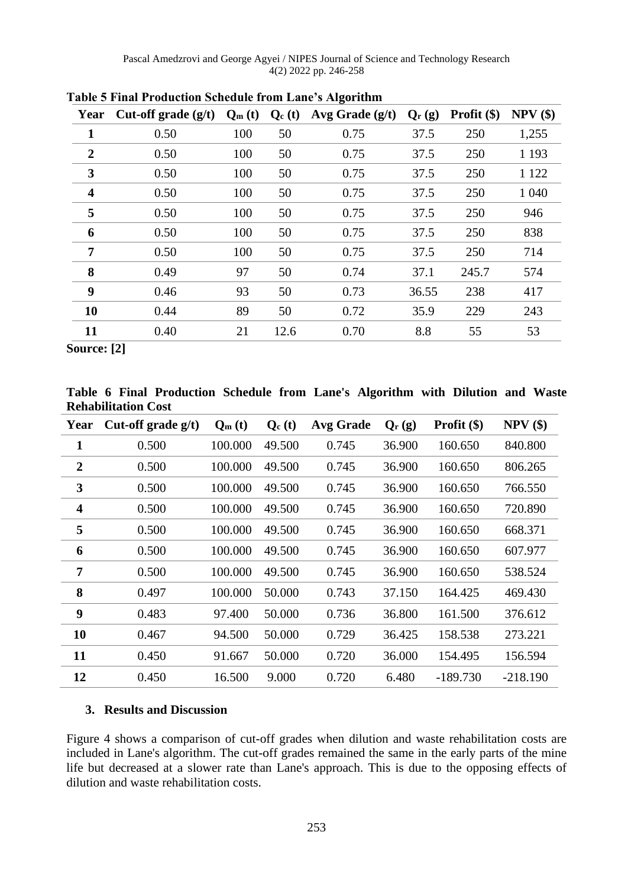| Year           | Cut-off grade $(g/t)$ | $Q_m(t)$ | $Q_c(t)$ | Avg Grade $(g/t)$ | $Q_{r}(g)$ | Profit $(\$)$ | $NPV$ $(\$)$ |
|----------------|-----------------------|----------|----------|-------------------|------------|---------------|--------------|
| 1              | 0.50                  | 100      | 50       | 0.75              | 37.5       | 250           | 1,255        |
| $\overline{2}$ | 0.50                  | 100      | 50       | 0.75              | 37.5       | 250           | 1 1 9 3      |
| 3              | 0.50                  | 100      | 50       | 0.75              | 37.5       | 250           | 1 1 2 2      |
| 4              | 0.50                  | 100      | 50       | 0.75              | 37.5       | 250           | 1 040        |
| 5              | 0.50                  | 100      | 50       | 0.75              | 37.5       | 250           | 946          |
| 6              | 0.50                  | 100      | 50       | 0.75              | 37.5       | 250           | 838          |
| 7              | 0.50                  | 100      | 50       | 0.75              | 37.5       | 250           | 714          |
| 8              | 0.49                  | 97       | 50       | 0.74              | 37.1       | 245.7         | 574          |
| 9              | 0.46                  | 93       | 50       | 0.73              | 36.55      | 238           | 417          |
| 10             | 0.44                  | 89       | 50       | 0.72              | 35.9       | 229           | 243          |
| 11             | 0.40                  | 21       | 12.6     | 0.70              | 8.8        | 55            | 53           |

**Table 5 Final Production Schedule from Lane's Algorithm**

**Source: [2]**

**Table 6 Final Production Schedule from Lane's Algorithm with Dilution and Waste Rehabilitation Cost**

| Year                    | Cut-off grade g/t) | $Q_m(t)$ | $Q_c(t)$ | <b>Avg Grade</b> | $Q_{r}(g)$ | <b>Profit</b> $(\$)$ | NPV(\$)    |
|-------------------------|--------------------|----------|----------|------------------|------------|----------------------|------------|
| $\mathbf{1}$            | 0.500              | 100.000  | 49.500   | 0.745            | 36.900     | 160.650              | 840.800    |
| $\boldsymbol{2}$        | 0.500              | 100.000  | 49.500   | 0.745            | 36.900     | 160.650              | 806.265    |
| 3                       | 0.500              | 100.000  | 49.500   | 0.745            | 36.900     | 160.650              | 766.550    |
| $\overline{\mathbf{4}}$ | 0.500              | 100.000  | 49.500   | 0.745            | 36.900     | 160.650              | 720.890    |
| 5                       | 0.500              | 100.000  | 49.500   | 0.745            | 36.900     | 160.650              | 668.371    |
| 6                       | 0.500              | 100.000  | 49.500   | 0.745            | 36.900     | 160.650              | 607.977    |
| 7                       | 0.500              | 100.000  | 49.500   | 0.745            | 36.900     | 160.650              | 538.524    |
| 8                       | 0.497              | 100.000  | 50.000   | 0.743            | 37.150     | 164.425              | 469.430    |
| 9                       | 0.483              | 97.400   | 50.000   | 0.736            | 36.800     | 161.500              | 376.612    |
| 10                      | 0.467              | 94.500   | 50.000   | 0.729            | 36.425     | 158.538              | 273.221    |
| 11                      | 0.450              | 91.667   | 50.000   | 0.720            | 36.000     | 154.495              | 156.594    |
| 12                      | 0.450              | 16.500   | 9.000    | 0.720            | 6.480      | $-189.730$           | $-218.190$ |

### **3. Results and Discussion**

Figure 4 shows a comparison of cut-off grades when dilution and waste rehabilitation costs are included in Lane's algorithm. The cut-off grades remained the same in the early parts of the mine life but decreased at a slower rate than Lane's approach. This is due to the opposing effects of dilution and waste rehabilitation costs.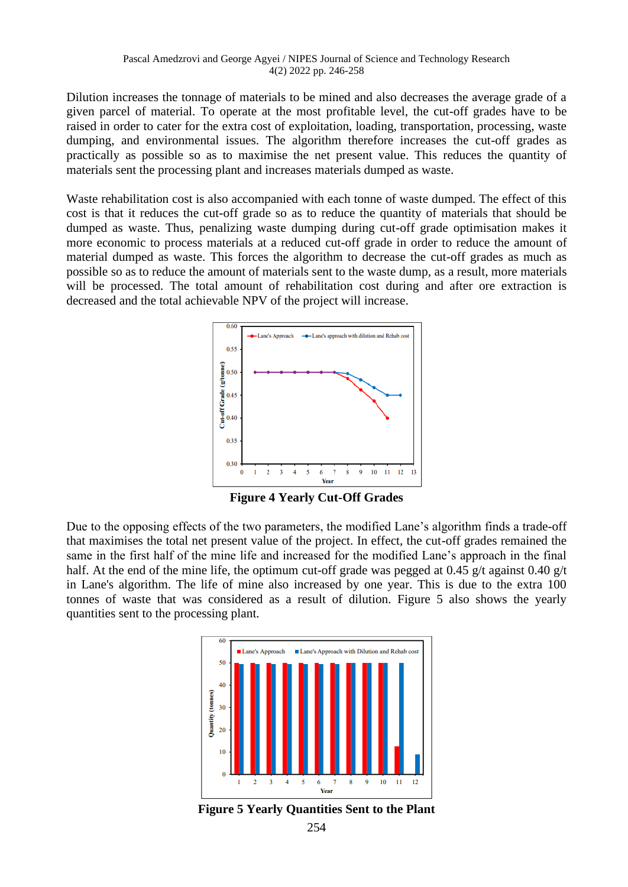Dilution increases the tonnage of materials to be mined and also decreases the average grade of a given parcel of material. To operate at the most profitable level, the cut-off grades have to be raised in order to cater for the extra cost of exploitation, loading, transportation, processing, waste dumping, and environmental issues. The algorithm therefore increases the cut-off grades as practically as possible so as to maximise the net present value. This reduces the quantity of materials sent the processing plant and increases materials dumped as waste.

Waste rehabilitation cost is also accompanied with each tonne of waste dumped. The effect of this cost is that it reduces the cut-off grade so as to reduce the quantity of materials that should be dumped as waste. Thus, penalizing waste dumping during cut-off grade optimisation makes it more economic to process materials at a reduced cut-off grade in order to reduce the amount of material dumped as waste. This forces the algorithm to decrease the cut-off grades as much as possible so as to reduce the amount of materials sent to the waste dump, as a result, more materials will be processed. The total amount of rehabilitation cost during and after ore extraction is decreased and the total achievable NPV of the project will increase.



**Figure 4 Yearly Cut-Off Grades**

Due to the opposing effects of the two parameters, the modified Lane's algorithm finds a trade-off that maximises the total net present value of the project. In effect, the cut-off grades remained the same in the first half of the mine life and increased for the modified Lane's approach in the final half. At the end of the mine life, the optimum cut-off grade was pegged at 0.45 g/t against 0.40 g/t in Lane's algorithm. The life of mine also increased by one year. This is due to the extra 100 tonnes of waste that was considered as a result of dilution. Figure 5 also shows the yearly quantities sent to the processing plant.



**Figure 5 Yearly Quantities Sent to the Plant**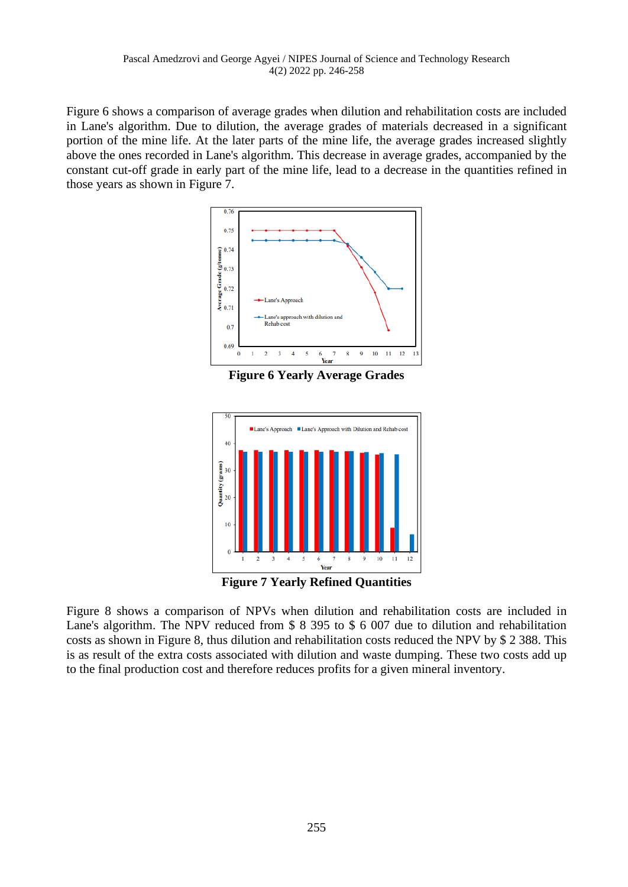Figure 6 shows a comparison of average grades when dilution and rehabilitation costs are included in Lane's algorithm. Due to dilution, the average grades of materials decreased in a significant portion of the mine life. At the later parts of the mine life, the average grades increased slightly above the ones recorded in Lane's algorithm. This decrease in average grades, accompanied by the constant cut-off grade in early part of the mine life, lead to a decrease in the quantities refined in those years as shown in Figure 7.



**Figure 6 Yearly Average Grades**



**Figure 7 Yearly Refined Quantities**

Figure 8 shows a comparison of NPVs when dilution and rehabilitation costs are included in Lane's algorithm. The NPV reduced from \$ 8 395 to \$ 6 007 due to dilution and rehabilitation costs as shown in Figure 8, thus dilution and rehabilitation costs reduced the NPV by \$ 2 388. This is as result of the extra costs associated with dilution and waste dumping. These two costs add up to the final production cost and therefore reduces profits for a given mineral inventory.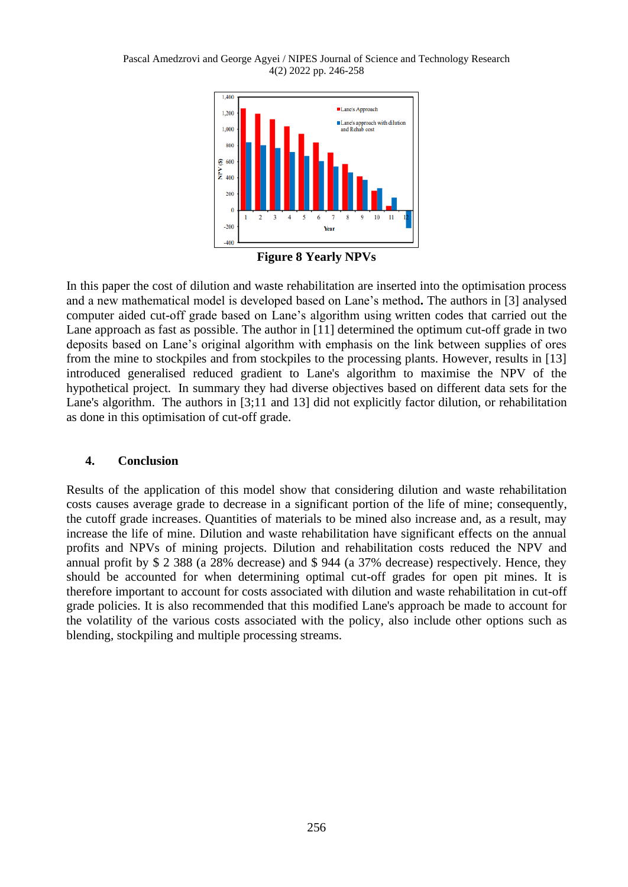#### Pascal Amedzrovi and George Agyei / NIPES Journal of Science and Technology Research 4(2) 2022 pp. 246-258



**Figure 8 Yearly NPVs**

In this paper the cost of dilution and waste rehabilitation are inserted into the optimisation process and a new mathematical model is developed based on Lane's method**.** The authors in [3] analysed computer aided cut-off grade based on Lane's algorithm using written codes that carried out the Lane approach as fast as possible. The author in [11] determined the optimum cut-off grade in two deposits based on Lane's original algorithm with emphasis on the link between supplies of ores from the mine to stockpiles and from stockpiles to the processing plants. However, results in [13] introduced generalised reduced gradient to Lane's algorithm to maximise the NPV of the hypothetical project. In summary they had diverse objectives based on different data sets for the Lane's algorithm. The authors in [3;11 and 13] did not explicitly factor dilution, or rehabilitation as done in this optimisation of cut-off grade.

### **4. Conclusion**

Results of the application of this model show that considering dilution and waste rehabilitation costs causes average grade to decrease in a significant portion of the life of mine; consequently, the cutoff grade increases. Quantities of materials to be mined also increase and, as a result, may increase the life of mine. Dilution and waste rehabilitation have significant effects on the annual profits and NPVs of mining projects. Dilution and rehabilitation costs reduced the NPV and annual profit by \$ 2 388 (a 28% decrease) and \$ 944 (a 37% decrease) respectively. Hence, they should be accounted for when determining optimal cut-off grades for open pit mines. It is therefore important to account for costs associated with dilution and waste rehabilitation in cut-off grade policies. It is also recommended that this modified Lane's approach be made to account for the volatility of the various costs associated with the policy, also include other options such as blending, stockpiling and multiple processing streams.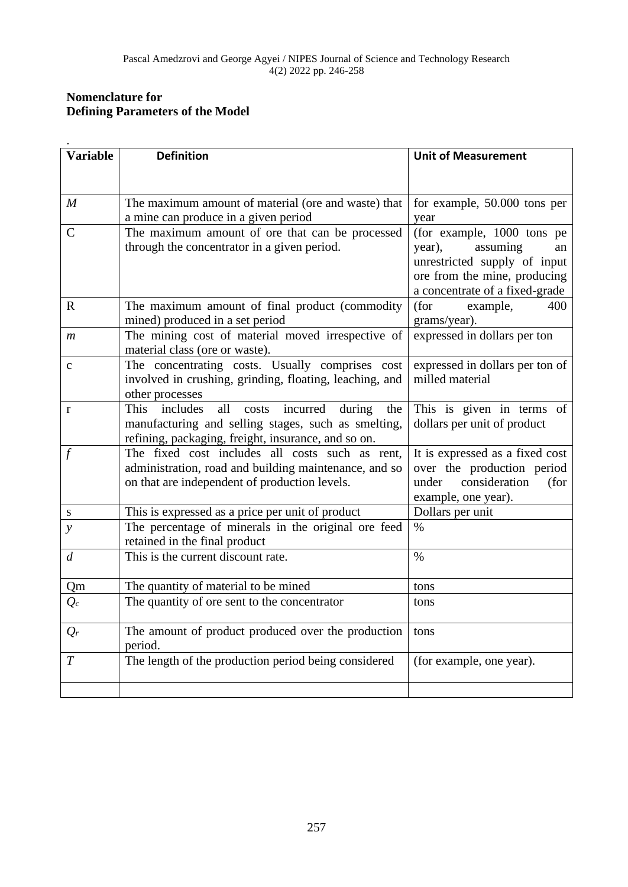# **Nomenclature for Defining Parameters of the Model**

| <b>Variable</b>  | <b>Definition</b>                                                                                                                                                                  | <b>Unit of Measurement</b>                                                                                                                               |
|------------------|------------------------------------------------------------------------------------------------------------------------------------------------------------------------------------|----------------------------------------------------------------------------------------------------------------------------------------------------------|
| $\boldsymbol{M}$ | The maximum amount of material (ore and waste) that                                                                                                                                | for example, 50.000 tons per                                                                                                                             |
|                  | a mine can produce in a given period                                                                                                                                               | year                                                                                                                                                     |
| $\mathcal{C}$    | The maximum amount of ore that can be processed<br>through the concentrator in a given period.                                                                                     | (for example, 1000 tons pe<br>assuming<br>year),<br>an<br>unrestricted supply of input<br>ore from the mine, producing<br>a concentrate of a fixed-grade |
| $\mathbb{R}$     | The maximum amount of final product (commodity<br>mined) produced in a set period                                                                                                  | (for<br>example,<br>400<br>grams/year).                                                                                                                  |
| $\boldsymbol{m}$ | The mining cost of material moved irrespective of<br>material class (ore or waste).                                                                                                | expressed in dollars per ton                                                                                                                             |
| $\mathbf c$      | The concentrating costs. Usually comprises cost<br>involved in crushing, grinding, floating, leaching, and<br>other processes                                                      | expressed in dollars per ton of<br>milled material                                                                                                       |
| $\bf r$          | all<br><b>This</b><br>incurred<br>includes<br>costs<br>during<br>the<br>manufacturing and selling stages, such as smelting,<br>refining, packaging, freight, insurance, and so on. | This is given in terms of<br>dollars per unit of product                                                                                                 |
|                  | The fixed cost includes all costs such as rent,<br>administration, road and building maintenance, and so<br>on that are independent of production levels.                          | It is expressed as a fixed cost<br>over the production period<br>under<br>consideration<br>(for<br>example, one year).                                   |
| S                | This is expressed as a price per unit of product                                                                                                                                   | Dollars per unit                                                                                                                                         |
| $\mathcal{Y}$    | The percentage of minerals in the original ore feed<br>retained in the final product                                                                                               | $\%$                                                                                                                                                     |
| $\overline{d}$   | This is the current discount rate.                                                                                                                                                 | $\%$                                                                                                                                                     |
| Qm               | The quantity of material to be mined                                                                                                                                               | tons                                                                                                                                                     |
| $Q_c$            | The quantity of ore sent to the concentrator                                                                                                                                       | tons                                                                                                                                                     |
| $Q_r$            | The amount of product produced over the production<br>period.                                                                                                                      | tons                                                                                                                                                     |
| T                | The length of the production period being considered                                                                                                                               | (for example, one year).                                                                                                                                 |
|                  |                                                                                                                                                                                    |                                                                                                                                                          |